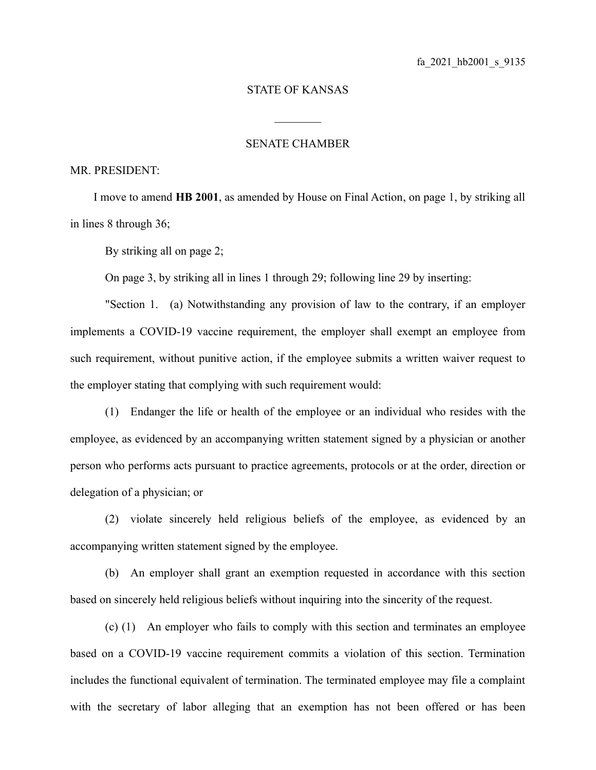## STATE OF KANSAS

 $\mathcal{L}_\text{max}$ 

## SENATE CHAMBER

## MR. PRESIDENT:

I move to amend **HB 2001**, as amended by House on Final Action, on page 1, by striking all in lines 8 through 36;

By striking all on page 2;

On page 3, by striking all in lines 1 through 29; following line 29 by inserting:

"Section 1. (a) Notwithstanding any provision of law to the contrary, if an employer implements a COVID-19 vaccine requirement, the employer shall exempt an employee from such requirement, without punitive action, if the employee submits a written waiver request to the employer stating that complying with such requirement would:

(1) Endanger the life or health of the employee or an individual who resides with the employee, as evidenced by an accompanying written statement signed by a physician or another person who performs acts pursuant to practice agreements, protocols or at the order, direction or delegation of a physician; or

(2) violate sincerely held religious beliefs of the employee, as evidenced by an accompanying written statement signed by the employee.

(b) An employer shall grant an exemption requested in accordance with this section based on sincerely held religious beliefs without inquiring into the sincerity of the request.

(c) (1) An employer who fails to comply with this section and terminates an employee based on a COVID-19 vaccine requirement commits a violation of this section. Termination includes the functional equivalent of termination. The terminated employee may file a complaint with the secretary of labor alleging that an exemption has not been offered or has been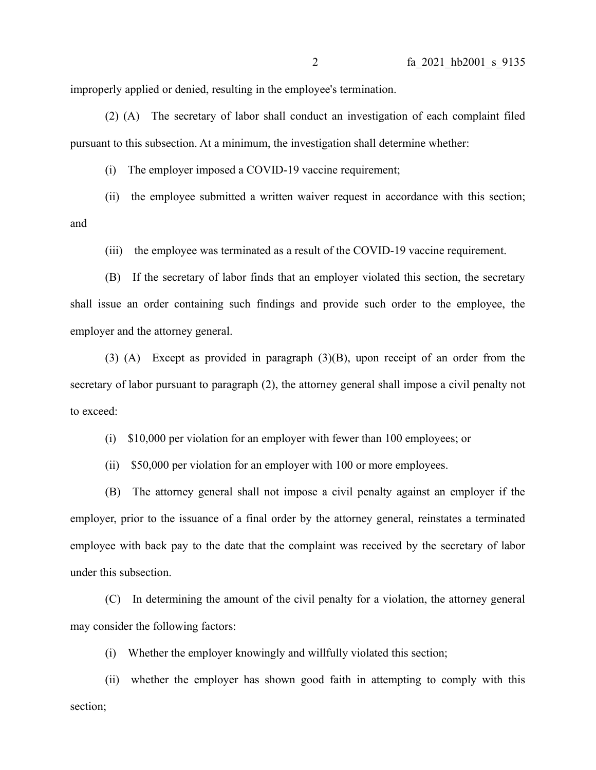improperly applied or denied, resulting in the employee's termination.

(2) (A) The secretary of labor shall conduct an investigation of each complaint filed pursuant to this subsection. At a minimum, the investigation shall determine whether:

(i) The employer imposed a COVID-19 vaccine requirement;

(ii) the employee submitted a written waiver request in accordance with this section; and

(iii) the employee was terminated as a result of the COVID-19 vaccine requirement.

(B) If the secretary of labor finds that an employer violated this section, the secretary shall issue an order containing such findings and provide such order to the employee, the employer and the attorney general.

(3) (A) Except as provided in paragraph (3)(B), upon receipt of an order from the secretary of labor pursuant to paragraph (2), the attorney general shall impose a civil penalty not to exceed:

(i) \$10,000 per violation for an employer with fewer than 100 employees; or

(ii) \$50,000 per violation for an employer with 100 or more employees.

(B) The attorney general shall not impose a civil penalty against an employer if the employer, prior to the issuance of a final order by the attorney general, reinstates a terminated employee with back pay to the date that the complaint was received by the secretary of labor under this subsection.

(C) In determining the amount of the civil penalty for a violation, the attorney general may consider the following factors:

(i) Whether the employer knowingly and willfully violated this section;

(ii) whether the employer has shown good faith in attempting to comply with this section;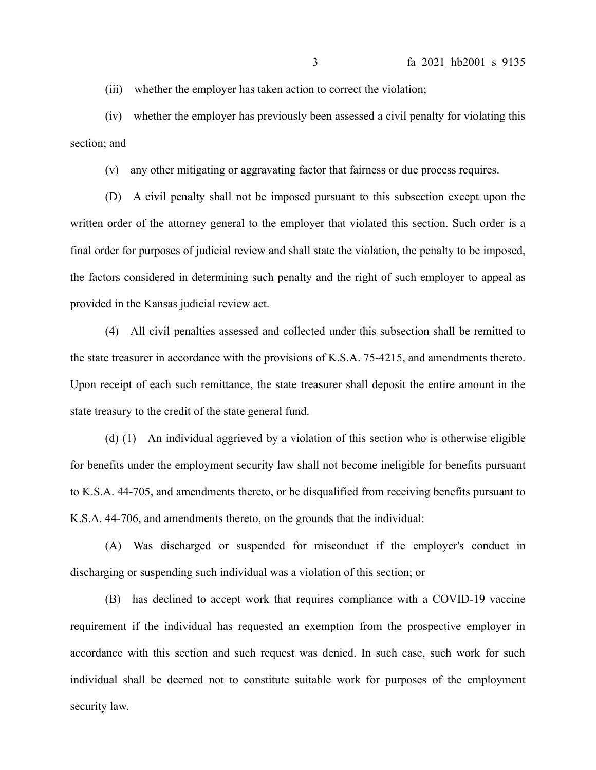(iii) whether the employer has taken action to correct the violation;

(iv) whether the employer has previously been assessed a civil penalty for violating this section; and

(v) any other mitigating or aggravating factor that fairness or due process requires.

(D) A civil penalty shall not be imposed pursuant to this subsection except upon the written order of the attorney general to the employer that violated this section. Such order is a final order for purposes of judicial review and shall state the violation, the penalty to be imposed, the factors considered in determining such penalty and the right of such employer to appeal as provided in the Kansas judicial review act.

(4) All civil penalties assessed and collected under this subsection shall be remitted to the state treasurer in accordance with the provisions of K.S.A. 75-4215, and amendments thereto. Upon receipt of each such remittance, the state treasurer shall deposit the entire amount in the state treasury to the credit of the state general fund.

(d) (1) An individual aggrieved by a violation of this section who is otherwise eligible for benefits under the employment security law shall not become ineligible for benefits pursuant to K.S.A. 44-705, and amendments thereto, or be disqualified from receiving benefits pursuant to K.S.A. 44-706, and amendments thereto, on the grounds that the individual:

(A) Was discharged or suspended for misconduct if the employer's conduct in discharging or suspending such individual was a violation of this section; or

(B) has declined to accept work that requires compliance with a COVID-19 vaccine requirement if the individual has requested an exemption from the prospective employer in accordance with this section and such request was denied. In such case, such work for such individual shall be deemed not to constitute suitable work for purposes of the employment security law.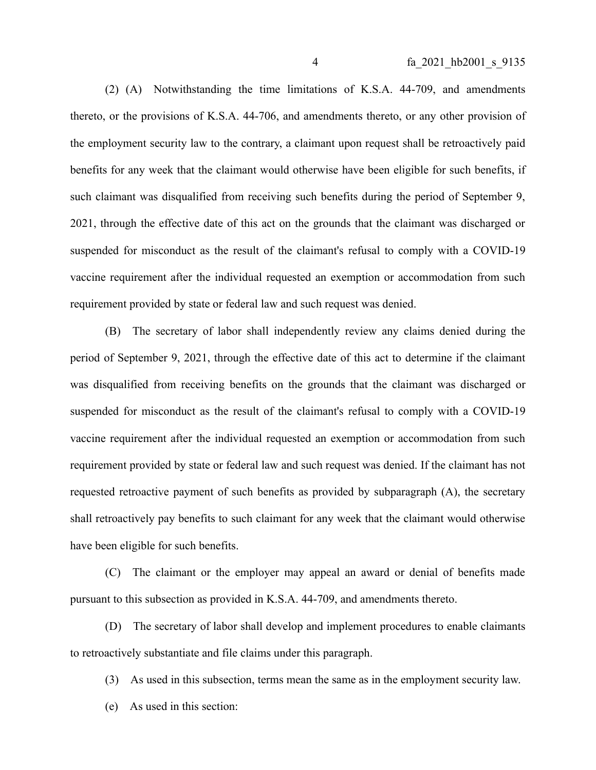(2) (A) Notwithstanding the time limitations of K.S.A. 44-709, and amendments thereto, or the provisions of K.S.A. 44-706, and amendments thereto, or any other provision of the employment security law to the contrary, a claimant upon request shall be retroactively paid benefits for any week that the claimant would otherwise have been eligible for such benefits, if such claimant was disqualified from receiving such benefits during the period of September 9, 2021, through the effective date of this act on the grounds that the claimant was discharged or suspended for misconduct as the result of the claimant's refusal to comply with a COVID-19 vaccine requirement after the individual requested an exemption or accommodation from such requirement provided by state or federal law and such request was denied.

(B) The secretary of labor shall independently review any claims denied during the period of September 9, 2021, through the effective date of this act to determine if the claimant was disqualified from receiving benefits on the grounds that the claimant was discharged or suspended for misconduct as the result of the claimant's refusal to comply with a COVID-19 vaccine requirement after the individual requested an exemption or accommodation from such requirement provided by state or federal law and such request was denied. If the claimant has not requested retroactive payment of such benefits as provided by subparagraph (A), the secretary shall retroactively pay benefits to such claimant for any week that the claimant would otherwise have been eligible for such benefits.

(C) The claimant or the employer may appeal an award or denial of benefits made pursuant to this subsection as provided in K.S.A. 44-709, and amendments thereto.

(D) The secretary of labor shall develop and implement procedures to enable claimants to retroactively substantiate and file claims under this paragraph.

(3) As used in this subsection, terms mean the same as in the employment security law.

(e) As used in this section: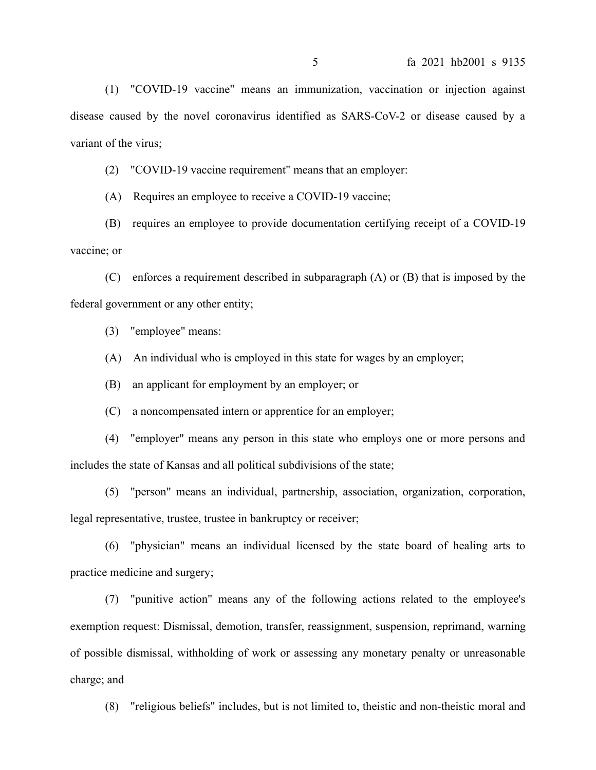(1) "COVID-19 vaccine" means an immunization, vaccination or injection against disease caused by the novel coronavirus identified as SARS-CoV-2 or disease caused by a variant of the virus;

(2) "COVID-19 vaccine requirement" means that an employer:

(A) Requires an employee to receive a COVID-19 vaccine;

(B) requires an employee to provide documentation certifying receipt of a COVID-19 vaccine; or

(C) enforces a requirement described in subparagraph (A) or (B) that is imposed by the federal government or any other entity;

(3) "employee" means:

(A) An individual who is employed in this state for wages by an employer;

(B) an applicant for employment by an employer; or

(C) a noncompensated intern or apprentice for an employer;

(4) "employer" means any person in this state who employs one or more persons and includes the state of Kansas and all political subdivisions of the state;

(5) "person" means an individual, partnership, association, organization, corporation, legal representative, trustee, trustee in bankruptcy or receiver;

(6) "physician" means an individual licensed by the state board of healing arts to practice medicine and surgery;

(7) "punitive action" means any of the following actions related to the employee's exemption request: Dismissal, demotion, transfer, reassignment, suspension, reprimand, warning of possible dismissal, withholding of work or assessing any monetary penalty or unreasonable charge; and

(8) "religious beliefs" includes, but is not limited to, theistic and non-theistic moral and